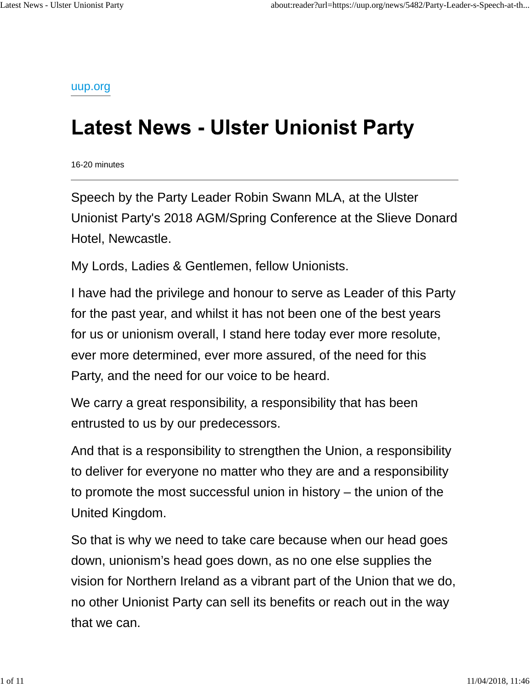uup.org

## **Latest News - Ulster Unionist Party**

16-20 minutes

Speech by the Party Leader Robin Swann MLA, at the Ulster Unionist Party's 2018 AGM/Spring Conference at the Slieve Donard Hotel, Newcastle.

My Lords, Ladies & Gentlemen, fellow Unionists.

I have had the privilege and honour to serve as Leader of this Party for the past year, and whilst it has not been one of the best years for us or unionism overall, I stand here today ever more resolute, ever more determined, ever more assured, of the need for this Party, and the need for our voice to be heard.

We carry a great responsibility, a responsibility that has been entrusted to us by our predecessors.

And that is a responsibility to strengthen the Union, a responsibility to deliver for everyone no matter who they are and a responsibility to promote the most successful union in history – the union of the United Kingdom.

So that is why we need to take care because when our head goes down, unionism's head goes down, as no one else supplies the vision for Northern Ireland as a vibrant part of the Union that we do, no other Unionist Party can sell its benefits or reach out in the way that we can.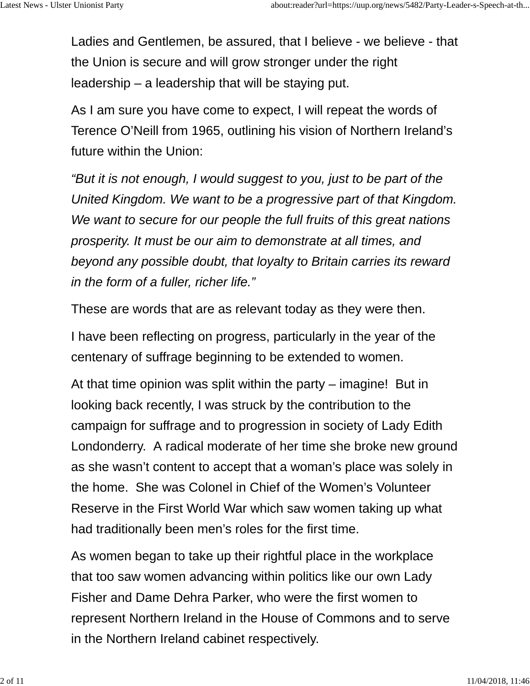Ladies and Gentlemen, be assured, that I believe - we believe - that the Union is secure and will grow stronger under the right leadership – a leadership that will be staying put.

As I am sure you have come to expect, I will repeat the words of Terence O'Neill from 1965, outlining his vision of Northern Ireland's future within the Union:

*"But it is not enough, I would suggest to you, just to be part of the United Kingdom. We want to be a progressive part of that Kingdom. We want to secure for our people the full fruits of this great nations prosperity. It must be our aim to demonstrate at all times, and beyond any possible doubt, that loyalty to Britain carries its reward in the form of a fuller, richer life."*

These are words that are as relevant today as they were then.

I have been reflecting on progress, particularly in the year of the centenary of suffrage beginning to be extended to women.

At that time opinion was split within the party – imagine! But in looking back recently, I was struck by the contribution to the campaign for suffrage and to progression in society of Lady Edith Londonderry. A radical moderate of her time she broke new ground as she wasn't content to accept that a woman's place was solely in the home. She was Colonel in Chief of the Women's Volunteer Reserve in the First World War which saw women taking up what had traditionally been men's roles for the first time.

As women began to take up their rightful place in the workplace that too saw women advancing within politics like our own Lady Fisher and Dame Dehra Parker, who were the first women to represent Northern Ireland in the House of Commons and to serve in the Northern Ireland cabinet respectively.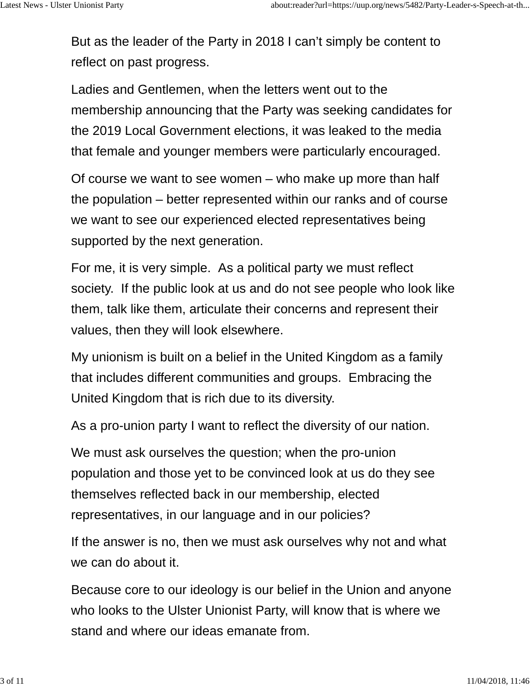But as the leader of the Party in 2018 I can't simply be content to reflect on past progress.

Ladies and Gentlemen, when the letters went out to the membership announcing that the Party was seeking candidates for the 2019 Local Government elections, it was leaked to the media that female and younger members were particularly encouraged.

Of course we want to see women – who make up more than half the population – better represented within our ranks and of course we want to see our experienced elected representatives being supported by the next generation.

For me, it is very simple. As a political party we must reflect society. If the public look at us and do not see people who look like them, talk like them, articulate their concerns and represent their values, then they will look elsewhere.

My unionism is built on a belief in the United Kingdom as a family that includes different communities and groups. Embracing the United Kingdom that is rich due to its diversity.

As a pro-union party I want to reflect the diversity of our nation.

We must ask ourselves the question; when the pro-union population and those yet to be convinced look at us do they see themselves reflected back in our membership, elected representatives, in our language and in our policies?

If the answer is no, then we must ask ourselves why not and what we can do about it.

Because core to our ideology is our belief in the Union and anyone who looks to the Ulster Unionist Party, will know that is where we stand and where our ideas emanate from.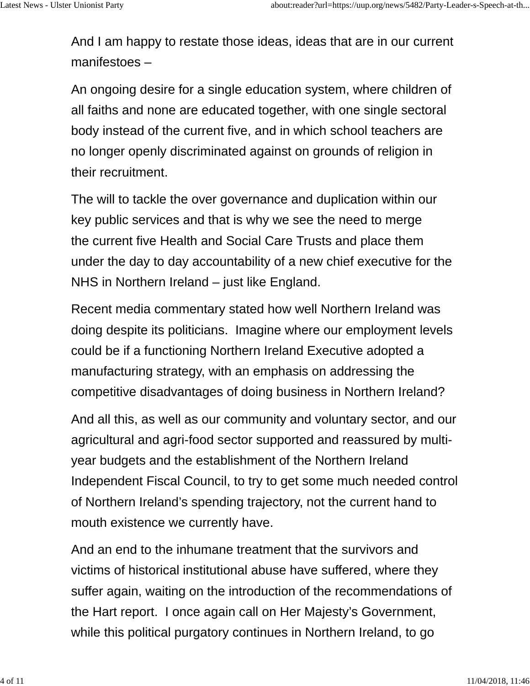And I am happy to restate those ideas, ideas that are in our current manifestoes –

An ongoing desire for a single education system, where children of all faiths and none are educated together, with one single sectoral body instead of the current five, and in which school teachers are no longer openly discriminated against on grounds of religion in their recruitment.

The will to tackle the over governance and duplication within our key public services and that is why we see the need to merge the current five Health and Social Care Trusts and place them under the day to day accountability of a new chief executive for the NHS in Northern Ireland – just like England.

Recent media commentary stated how well Northern Ireland was doing despite its politicians. Imagine where our employment levels could be if a functioning Northern Ireland Executive adopted a manufacturing strategy, with an emphasis on addressing the competitive disadvantages of doing business in Northern Ireland?

And all this, as well as our community and voluntary sector, and our agricultural and agri-food sector supported and reassured by multiyear budgets and the establishment of the Northern Ireland Independent Fiscal Council, to try to get some much needed control of Northern Ireland's spending trajectory, not the current hand to mouth existence we currently have.

And an end to the inhumane treatment that the survivors and victims of historical institutional abuse have suffered, where they suffer again, waiting on the introduction of the recommendations of the Hart report. I once again call on Her Majesty's Government, while this political purgatory continues in Northern Ireland, to go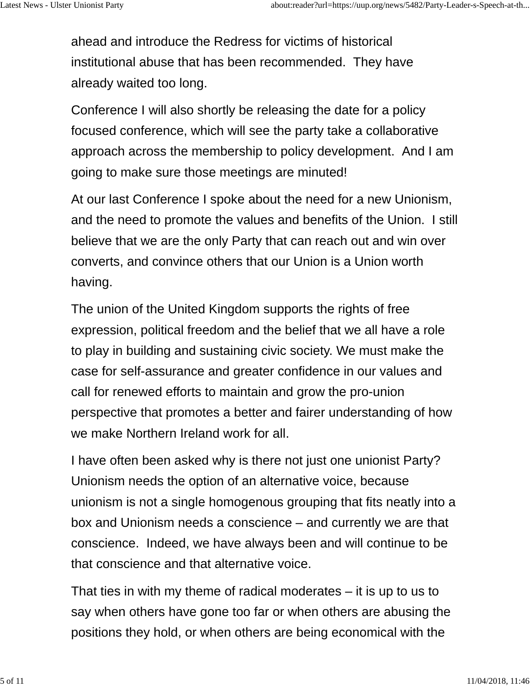ahead and introduce the Redress for victims of historical institutional abuse that has been recommended. They have already waited too long.

Conference I will also shortly be releasing the date for a policy focused conference, which will see the party take a collaborative approach across the membership to policy development. And I am going to make sure those meetings are minuted!

At our last Conference I spoke about the need for a new Unionism, and the need to promote the values and benefits of the Union. I still believe that we are the only Party that can reach out and win over converts, and convince others that our Union is a Union worth having.

The union of the United Kingdom supports the rights of free expression, political freedom and the belief that we all have a role to play in building and sustaining civic society. We must make the case for self-assurance and greater confidence in our values and call for renewed efforts to maintain and grow the pro-union perspective that promotes a better and fairer understanding of how we make Northern Ireland work for all.

I have often been asked why is there not just one unionist Party? Unionism needs the option of an alternative voice, because unionism is not a single homogenous grouping that fits neatly into a box and Unionism needs a conscience – and currently we are that conscience. Indeed, we have always been and will continue to be that conscience and that alternative voice.

That ties in with my theme of radical moderates – it is up to us to say when others have gone too far or when others are abusing the positions they hold, or when others are being economical with the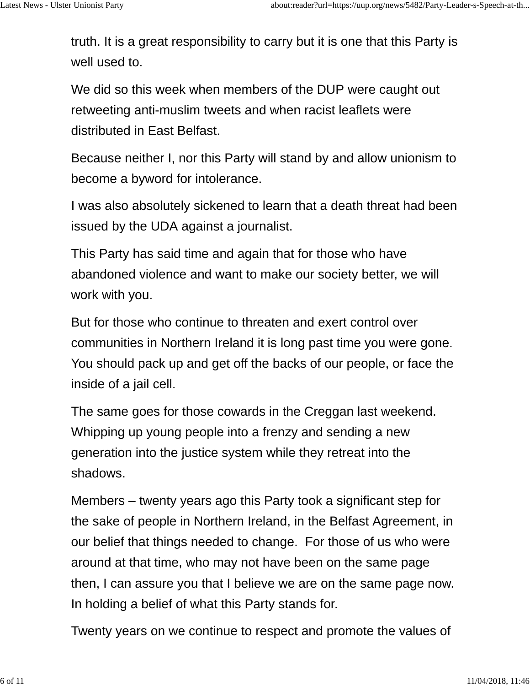truth. It is a great responsibility to carry but it is one that this Party is well used to.

We did so this week when members of the DUP were caught out retweeting anti-muslim tweets and when racist leaflets were distributed in East Belfast.

Because neither I, nor this Party will stand by and allow unionism to become a byword for intolerance.

I was also absolutely sickened to learn that a death threat had been issued by the UDA against a journalist.

This Party has said time and again that for those who have abandoned violence and want to make our society better, we will work with you.

But for those who continue to threaten and exert control over communities in Northern Ireland it is long past time you were gone. You should pack up and get off the backs of our people, or face the inside of a jail cell.

The same goes for those cowards in the Creggan last weekend. Whipping up young people into a frenzy and sending a new generation into the justice system while they retreat into the shadows.

Members – twenty years ago this Party took a significant step for the sake of people in Northern Ireland, in the Belfast Agreement, in our belief that things needed to change. For those of us who were around at that time, who may not have been on the same page then, I can assure you that I believe we are on the same page now. In holding a belief of what this Party stands for.

Twenty years on we continue to respect and promote the values of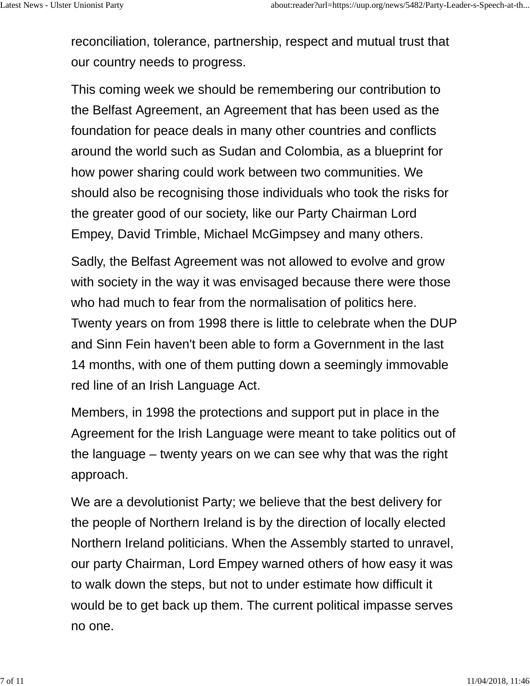reconciliation, tolerance, partnership, respect and mutual trust that our country needs to progress.

This coming week we should be remembering our contribution to the Belfast Agreement, an Agreement that has been used as the foundation for peace deals in many other countries and conflicts around the world such as Sudan and Colombia, as a blueprint for how power sharing could work between two communities. We should also be recognising those individuals who took the risks for the greater good of our society, like our Party Chairman Lord Empey, David Trimble, Michael McGimpsey and many others.

Sadly, the Belfast Agreement was not allowed to evolve and grow with society in the way it was envisaged because there were those who had much to fear from the normalisation of politics here. Twenty years on from 1998 there is little to celebrate when the DUP and Sinn Fein haven't been able to form a Government in the last 14 months, with one of them putting down a seemingly immovable red line of an Irish Language Act.

Members, in 1998 the protections and support put in place in the Agreement for the Irish Language were meant to take politics out of the language – twenty years on we can see why that was the right approach.

We are a devolutionist Party; we believe that the best delivery for the people of Northern Ireland is by the direction of locally elected Northern Ireland politicians. When the Assembly started to unravel, our party Chairman, Lord Empey warned others of how easy it was to walk down the steps, but not to under estimate how difficult it would be to get back up them. The current political impasse serves no one.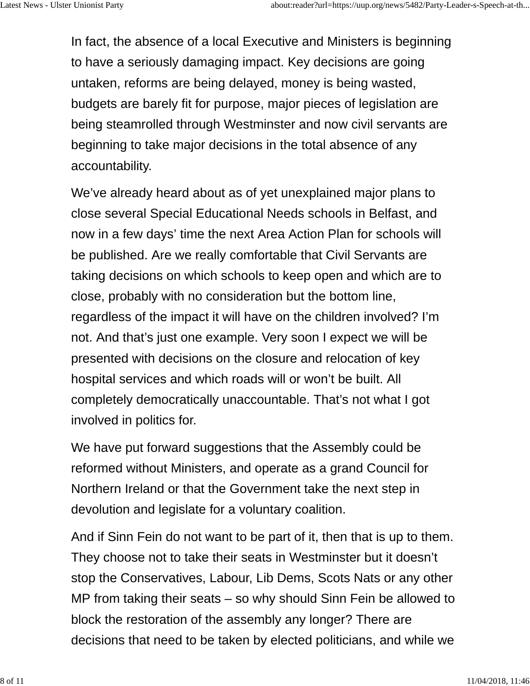In fact, the absence of a local Executive and Ministers is beginning to have a seriously damaging impact. Key decisions are going untaken, reforms are being delayed, money is being wasted, budgets are barely fit for purpose, major pieces of legislation are being steamrolled through Westminster and now civil servants are beginning to take major decisions in the total absence of any accountability.

We've already heard about as of yet unexplained major plans to close several Special Educational Needs schools in Belfast, and now in a few days' time the next Area Action Plan for schools will be published. Are we really comfortable that Civil Servants are taking decisions on which schools to keep open and which are to close, probably with no consideration but the bottom line, regardless of the impact it will have on the children involved? I'm not. And that's just one example. Very soon I expect we will be presented with decisions on the closure and relocation of key hospital services and which roads will or won't be built. All completely democratically unaccountable. That's not what I got involved in politics for.

We have put forward suggestions that the Assembly could be reformed without Ministers, and operate as a grand Council for Northern Ireland or that the Government take the next step in devolution and legislate for a voluntary coalition.

And if Sinn Fein do not want to be part of it, then that is up to them. They choose not to take their seats in Westminster but it doesn't stop the Conservatives, Labour, Lib Dems, Scots Nats or any other MP from taking their seats – so why should Sinn Fein be allowed to block the restoration of the assembly any longer? There are decisions that need to be taken by elected politicians, and while we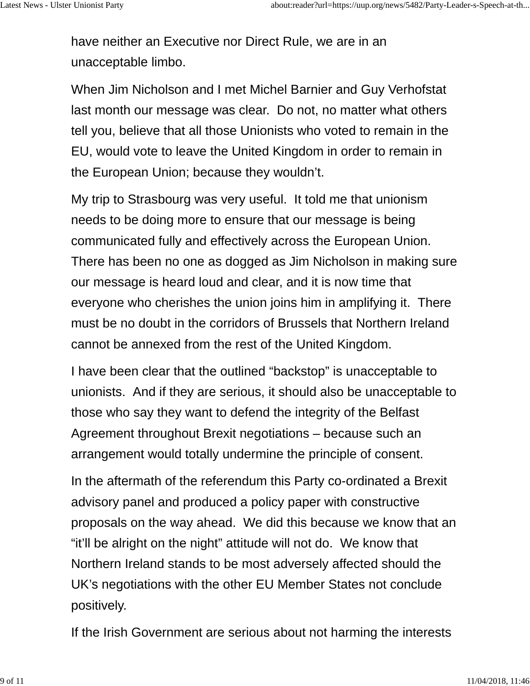have neither an Executive nor Direct Rule, we are in an unacceptable limbo.

When Jim Nicholson and I met Michel Barnier and Guy Verhofstat last month our message was clear. Do not, no matter what others tell you, believe that all those Unionists who voted to remain in the EU, would vote to leave the United Kingdom in order to remain in the European Union; because they wouldn't.

My trip to Strasbourg was very useful. It told me that unionism needs to be doing more to ensure that our message is being communicated fully and effectively across the European Union. There has been no one as dogged as Jim Nicholson in making sure our message is heard loud and clear, and it is now time that everyone who cherishes the union joins him in amplifying it. There must be no doubt in the corridors of Brussels that Northern Ireland cannot be annexed from the rest of the United Kingdom.

I have been clear that the outlined "backstop" is unacceptable to unionists. And if they are serious, it should also be unacceptable to those who say they want to defend the integrity of the Belfast Agreement throughout Brexit negotiations – because such an arrangement would totally undermine the principle of consent.

In the aftermath of the referendum this Party co-ordinated a Brexit advisory panel and produced a policy paper with constructive proposals on the way ahead. We did this because we know that an "it'll be alright on the night" attitude will not do. We know that Northern Ireland stands to be most adversely affected should the UK's negotiations with the other EU Member States not conclude positively.

If the Irish Government are serious about not harming the interests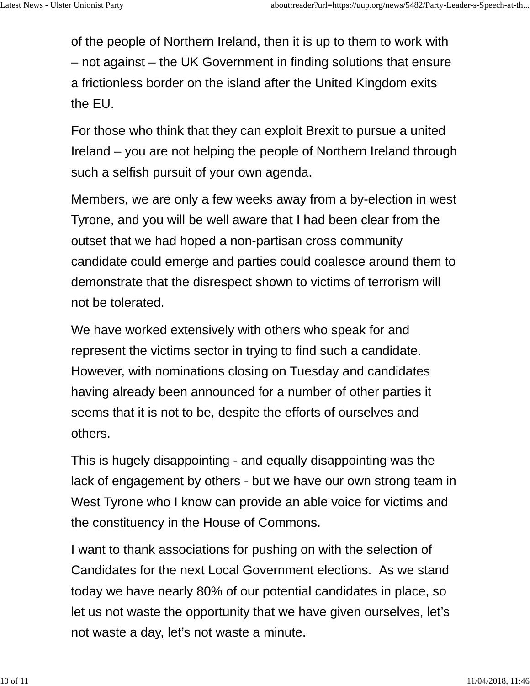of the people of Northern Ireland, then it is up to them to work with – not against – the UK Government in finding solutions that ensure a frictionless border on the island after the United Kingdom exits the EU.

For those who think that they can exploit Brexit to pursue a united Ireland – you are not helping the people of Northern Ireland through such a selfish pursuit of your own agenda.

Members, we are only a few weeks away from a by-election in west Tyrone, and you will be well aware that I had been clear from the outset that we had hoped a non-partisan cross community candidate could emerge and parties could coalesce around them to demonstrate that the disrespect shown to victims of terrorism will not be tolerated.

We have worked extensively with others who speak for and represent the victims sector in trying to find such a candidate. However, with nominations closing on Tuesday and candidates having already been announced for a number of other parties it seems that it is not to be, despite the efforts of ourselves and others.

This is hugely disappointing - and equally disappointing was the lack of engagement by others - but we have our own strong team in West Tyrone who I know can provide an able voice for victims and the constituency in the House of Commons.

I want to thank associations for pushing on with the selection of Candidates for the next Local Government elections. As we stand today we have nearly 80% of our potential candidates in place, so let us not waste the opportunity that we have given ourselves, let's not waste a day, let's not waste a minute.